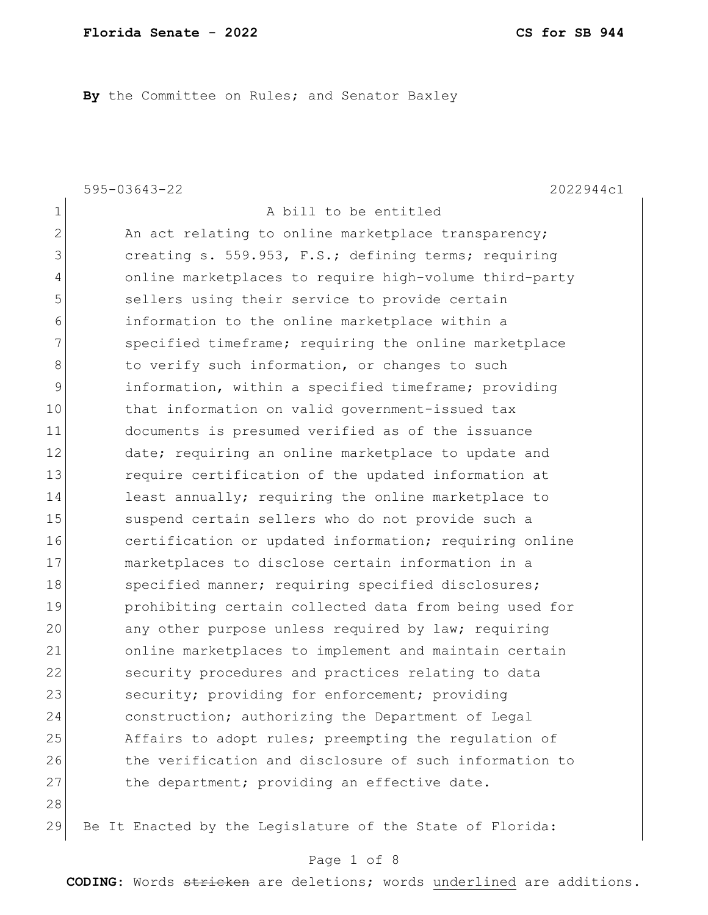**By** the Committee on Rules; and Senator Baxley

595-03643-22 2022944c1

1 A bill to be entitled 2 An act relating to online marketplace transparency; 3 3 creating s. 559.953, F.S.; defining terms; requiring 4 online marketplaces to require high-volume third-party 5 sellers using their service to provide certain 6 information to the online marketplace within a 7 Specified timeframe; requiring the online marketplace 8 to verify such information, or changes to such 9 information, within a specified timeframe; providing 10 that information on valid government-issued tax 11 documents is presumed verified as of the issuance 12 date; requiring an online marketplace to update and 13 13 require certification of the updated information at 14 least annually; requiring the online marketplace to 15 Suspend certain sellers who do not provide such a 16 certification or updated information; requiring online 17 marketplaces to disclose certain information in a 18 Specified manner; requiring specified disclosures; 19 prohibiting certain collected data from being used for 20 any other purpose unless required by law; requiring 21 online marketplaces to implement and maintain certain 22 security procedures and practices relating to data 23 security; providing for enforcement; providing 24 construction; authorizing the Department of Legal 25 Affairs to adopt rules; preempting the regulation of 26 the verification and disclosure of such information to 27 the department; providing an effective date. 28

29 Be It Enacted by the Legislature of the State of Florida:

#### Page 1 of 8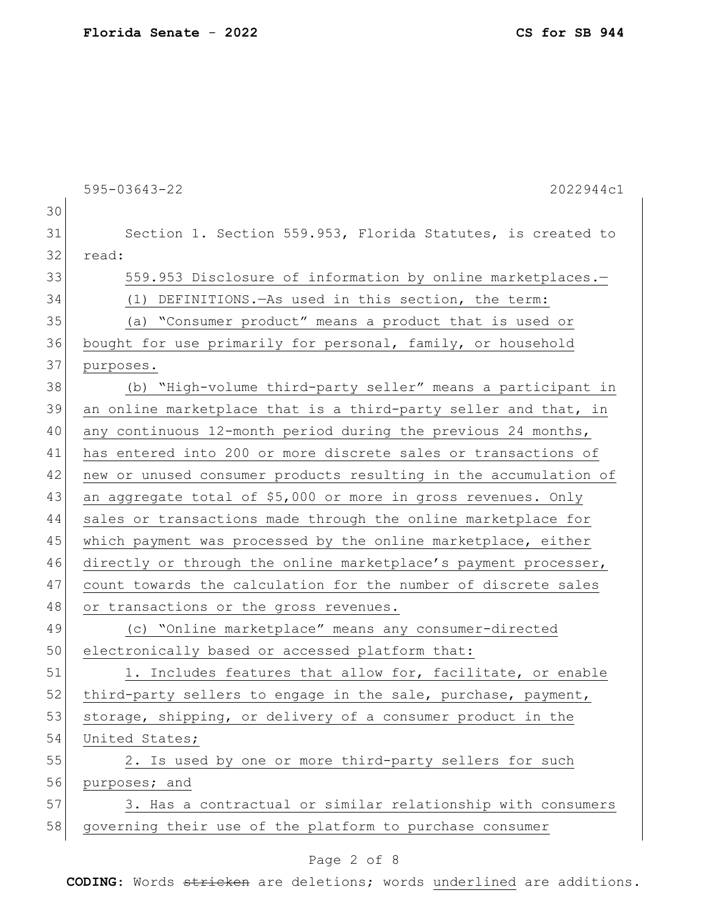595-03643-22 2022944c1 30 31 Section 1. Section 559.953, Florida Statutes, is created to 32 read: 33 559.953 Disclosure of information by online marketplaces. 34 (1) DEFINITIONS.—As used in this section, the term: 35 (a) "Consumer product" means a product that is used or 36 bought for use primarily for personal, family, or household 37 purposes. 38 (b) "High-volume third-party seller" means a participant in 39 an online marketplace that is a third-party seller and that, in 40 any continuous 12-month period during the previous 24 months, 41 has entered into 200 or more discrete sales or transactions of 42 new or unused consumer products resulting in the accumulation of 43 an aggregate total of \$5,000 or more in gross revenues. Only 44 sales or transactions made through the online marketplace for 45 which payment was processed by the online marketplace, either 46 directly or through the online marketplace's payment processer, 47 count towards the calculation for the number of discrete sales 48 or transactions or the gross revenues. 49 (c) "Online marketplace" means any consumer-directed 50 electronically based or accessed platform that: 51 1. Includes features that allow for, facilitate, or enable 52 third-party sellers to engage in the sale, purchase, payment, 53 storage, shipping, or delivery of a consumer product in the 54 United States; 55 2. Is used by one or more third-party sellers for such 56 purposes; and 57 3. Has a contractual or similar relationship with consumers

# 58 governing their use of the platform to purchase consumer

#### Page 2 of 8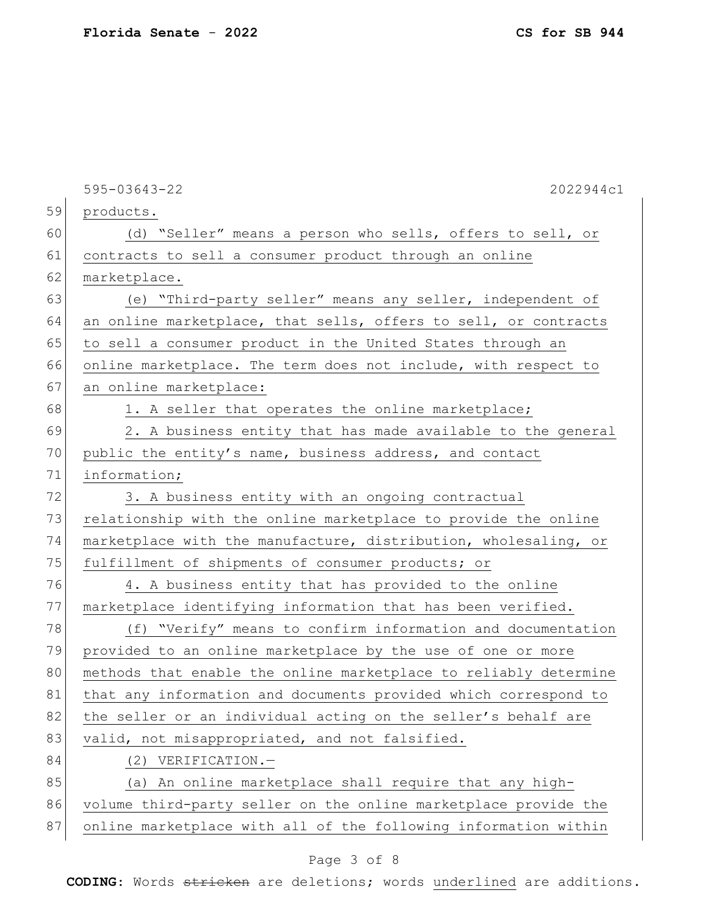595-03643-22 2022944c1 59 products. 60 (d) "Seller" means a person who sells, offers to sell, or 61 contracts to sell a consumer product through an online 62 marketplace. 63 (e) "Third-party seller" means any seller, independent of 64 an online marketplace, that sells, offers to sell, or contracts 65 to sell a consumer product in the United States through an 66 online marketplace. The term does not include, with respect to 67 an online marketplace: 68 1. A seller that operates the online marketplace; 69 2. A business entity that has made available to the general 70 public the entity's name, business address, and contact 71 information; 72 3. A business entity with an ongoing contractual 73 relationship with the online marketplace to provide the online 74 marketplace with the manufacture, distribution, wholesaling, or 75 fulfillment of shipments of consumer products; or 76 4. A business entity that has provided to the online 77 marketplace identifying information that has been verified. 78 (f) "Verify" means to confirm information and documentation 79 provided to an online marketplace by the use of one or more 80 methods that enable the online marketplace to reliably determine 81 that any information and documents provided which correspond to 82 the seller or an individual acting on the seller's behalf are 83 valid, not misappropriated, and not falsified. 84 (2) VERIFICATION. 85 (a) An online marketplace shall require that any high-86 volume third-party seller on the online marketplace provide the 87 online marketplace with all of the following information within

## Page 3 of 8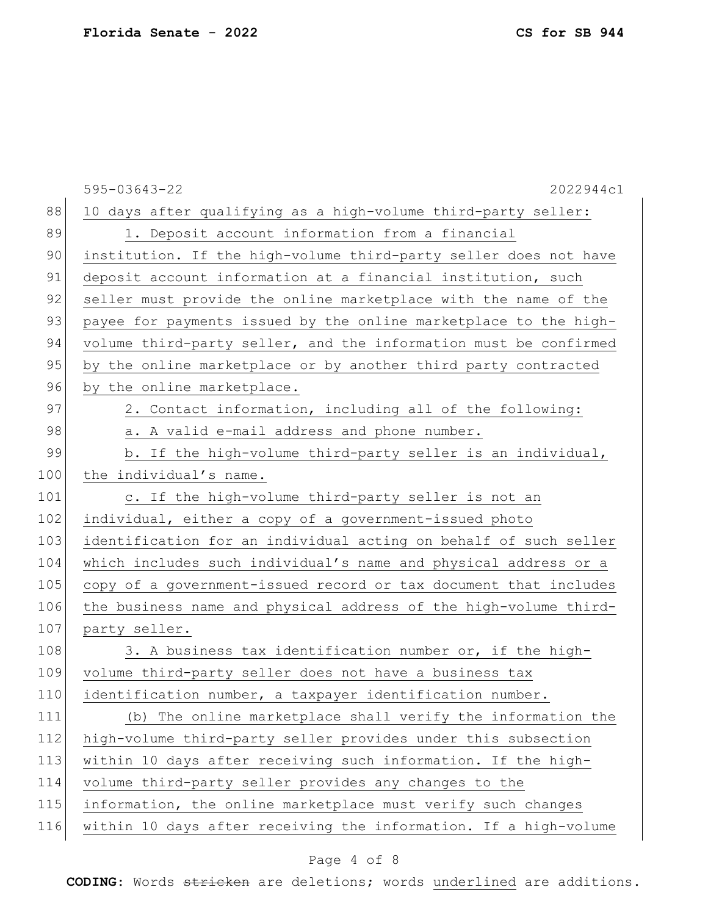595-03643-22 2022944c1 88 10 days after qualifying as a high-volume third-party seller: 89 1. Deposit account information from a financial 90 institution. If the high-volume third-party seller does not have 91 deposit account information at a financial institution, such 92 seller must provide the online marketplace with the name of the 93 payee for payments issued by the online marketplace to the high-94 volume third-party seller, and the information must be confirmed 95 by the online marketplace or by another third party contracted 96 by the online marketplace. 97 2. Contact information, including all of the following: 98 a. A valid e-mail address and phone number. 99 b. If the high-volume third-party seller is an individual, 100 the individual's name. 101 c. If the high-volume third-party seller is not an 102 individual, either a copy of a government-issued photo 103 identification for an individual acting on behalf of such seller 104 which includes such individual's name and physical address or a 105 copy of a government-issued record or tax document that includes 106 the business name and physical address of the high-volume third-107 party seller.  $108$  3. A business tax identification number or, if the high-109 volume third-party seller does not have a business tax 110 identification number, a taxpayer identification number. 111 (b) The online marketplace shall verify the information the 112 high-volume third-party seller provides under this subsection 113 within 10 days after receiving such information. If the high-114 volume third-party seller provides any changes to the 115 | information, the online marketplace must verify such changes 116 within 10 days after receiving the information. If a high-volume

## Page 4 of 8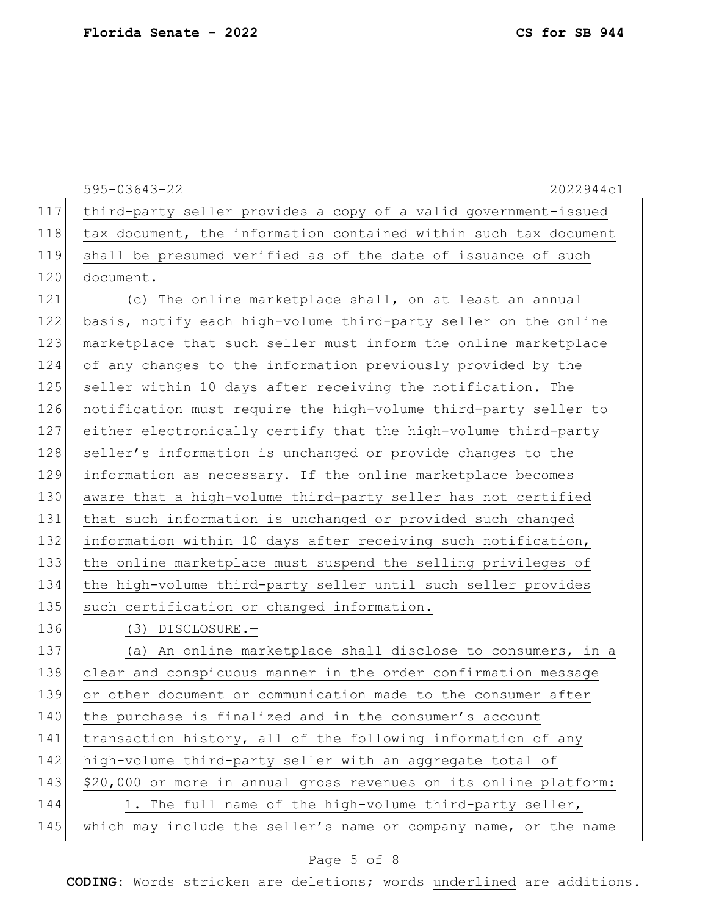595-03643-22 2022944c1 117 third-party seller provides a copy of a valid government-issued 118 tax document, the information contained within such tax document 119 shall be presumed verified as of the date of issuance of such 120 document. 121 (c) The online marketplace shall, on at least an annual 122 basis, notify each high-volume third-party seller on the online 123 marketplace that such seller must inform the online marketplace 124 of any changes to the information previously provided by the 125 seller within 10 days after receiving the notification. The 126 notification must require the high-volume third-party seller to 127 either electronically certify that the high-volume third-party 128 seller's information is unchanged or provide changes to the 129 information as necessary. If the online marketplace becomes 130 aware that a high-volume third-party seller has not certified 131 that such information is unchanged or provided such changed 132 information within 10 days after receiving such notification, 133 the online marketplace must suspend the selling privileges of 134 the high-volume third-party seller until such seller provides 135 such certification or changed information. 136 (3) DISCLOSURE.-137 (a) An online marketplace shall disclose to consumers, in a 138 clear and conspicuous manner in the order confirmation message 139 or other document or communication made to the consumer after 140 the purchase is finalized and in the consumer's account 141 transaction history, all of the following information of any 142 high-volume third-party seller with an aggregate total of 143 \$20,000 or more in annual gross revenues on its online platform: 144 1. The full name of the high-volume third-party seller, 145 which may include the seller's name or company name, or the name

#### Page 5 of 8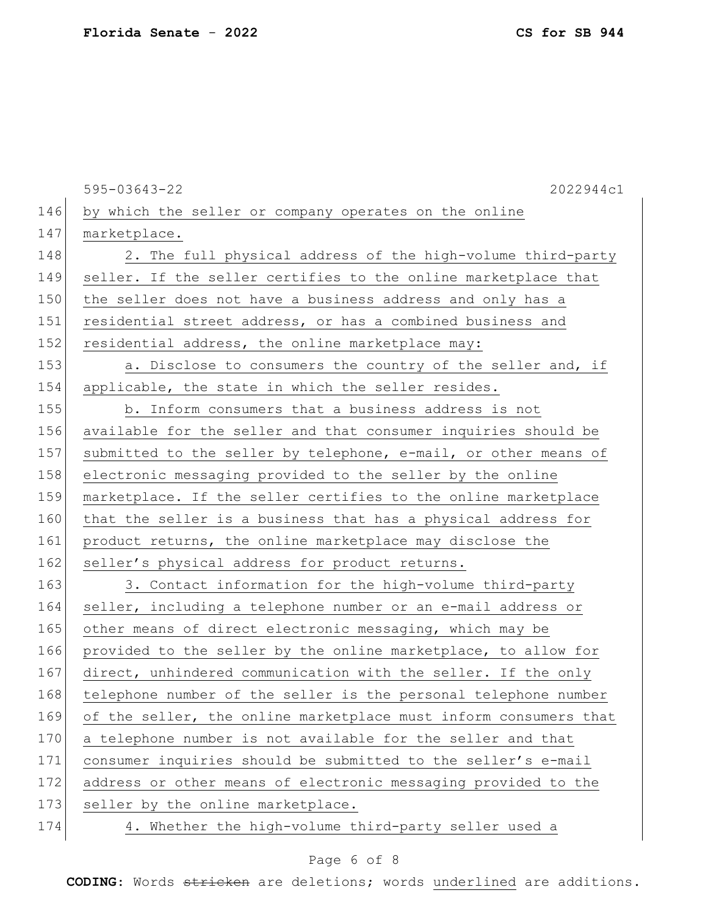595-03643-22 2022944c1 146 by which the seller or company operates on the online 147 marketplace. 148 2. The full physical address of the high-volume third-party 149 seller. If the seller certifies to the online marketplace that 150 the seller does not have a business address and only has a 151 residential street address, or has a combined business and 152 residential address, the online marketplace may: 153  $\vert$  a. Disclose to consumers the country of the seller and, if 154 applicable, the state in which the seller resides. 155 b. Inform consumers that a business address is not 156 available for the seller and that consumer inquiries should be 157 submitted to the seller by telephone, e-mail, or other means of 158 electronic messaging provided to the seller by the online 159 marketplace. If the seller certifies to the online marketplace 160 that the seller is a business that has a physical address for 161 product returns, the online marketplace may disclose the 162 seller's physical address for product returns. 163 3. Contact information for the high-volume third-party 164 seller, including a telephone number or an e-mail address or 165 other means of direct electronic messaging, which may be 166 provided to the seller by the online marketplace, to allow for 167 direct, unhindered communication with the seller. If the only 168 telephone number of the seller is the personal telephone number 169 of the seller, the online marketplace must inform consumers that 170 a telephone number is not available for the seller and that 171 consumer inquiries should be submitted to the seller's e-mail 172 address or other means of electronic messaging provided to the 173 seller by the online marketplace. 174 4. Whether the high-volume third-party seller used a

# Page 6 of 8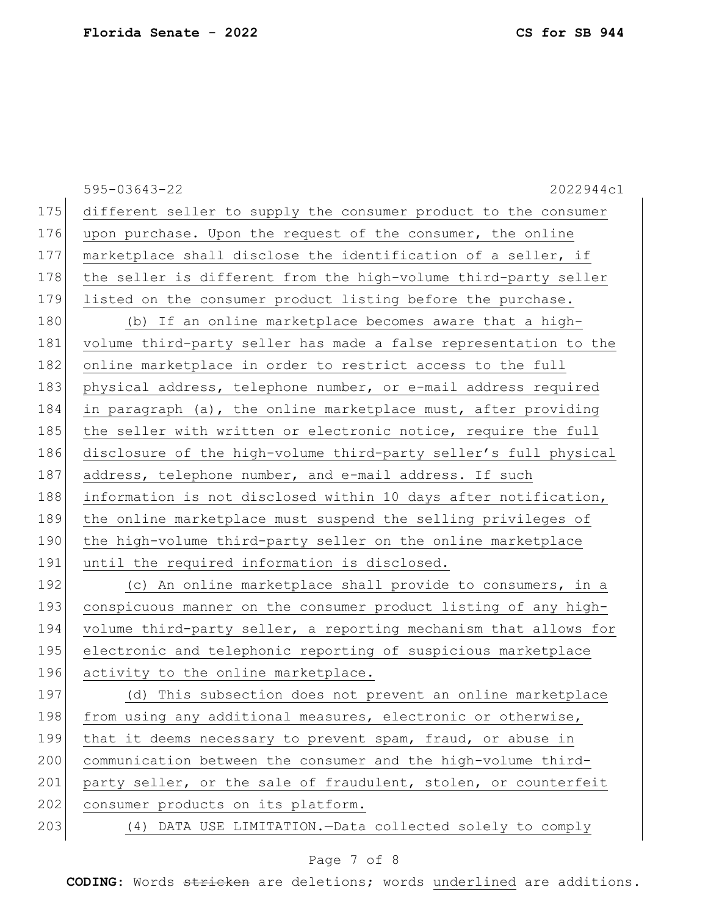595-03643-22 2022944c1 175 different seller to supply the consumer product to the consumer 176 upon purchase. Upon the request of the consumer, the online 177 marketplace shall disclose the identification of a seller, if 178 | the seller is different from the high-volume third-party seller 179 listed on the consumer product listing before the purchase. 180 (b) If an online marketplace becomes aware that a high-181 volume third-party seller has made a false representation to the 182 online marketplace in order to restrict access to the full 183 physical address, telephone number, or e-mail address required 184 in paragraph (a), the online marketplace must, after providing 185 the seller with written or electronic notice, require the full 186 disclosure of the high-volume third-party seller's full physical 187 address, telephone number, and e-mail address. If such 188 information is not disclosed within 10 days after notification, 189 the online marketplace must suspend the selling privileges of 190 the high-volume third-party seller on the online marketplace 191 until the required information is disclosed. 192 (c) An online marketplace shall provide to consumers, in a 193 conspicuous manner on the consumer product listing of any high-194 volume third-party seller, a reporting mechanism that allows for 195 electronic and telephonic reporting of suspicious marketplace 196 activity to the online marketplace. 197 (d) This subsection does not prevent an online marketplace 198 from using any additional measures, electronic or otherwise, 199 that it deems necessary to prevent spam, fraud, or abuse in 200 communication between the consumer and the high-volume third-201 party seller, or the sale of fraudulent, stolen, or counterfeit 202 consumer products on its platform.

203 (4) DATA USE LIMITATION.—Data collected solely to comply

#### Page 7 of 8